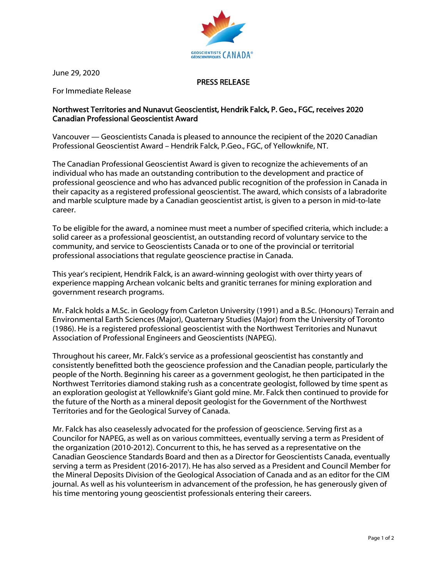

June 29, 2020

## PRESS RELEASE

For Immediate Release

## Northwest Territories and Nunavut Geoscientist, Hendrik Falck, P. Geo., FGC, receives 2020 Canadian Professional Geoscientist Award

Vancouver — Geoscientists Canada is pleased to announce the recipient of the 2020 Canadian Professional Geoscientist Award – Hendrik Falck, P.Geo., FGC, of Yellowknife, NT.

The Canadian Professional Geoscientist Award is given to recognize the achievements of an individual who has made an outstanding contribution to the development and practice of professional geoscience and who has advanced public recognition of the profession in Canada in their capacity as a registered professional geoscientist. The award, which consists of a labradorite and marble sculpture made by a Canadian geoscientist artist, is given to a person in mid-to-late career.

To be eligible for the award, a nominee must meet a number of specified criteria, which include: a solid career as a professional geoscientist, an outstanding record of voluntary service to the community, and service to Geoscientists Canada or to one of the provincial or territorial professional associations that regulate geoscience practise in Canada.

This year's recipient, Hendrik Falck, is an award-winning geologist with over thirty years of experience mapping Archean volcanic belts and granitic terranes for mining exploration and government research programs.

Mr. Falck holds a M.Sc. in Geology from Carleton University (1991) and a B.Sc. (Honours) Terrain and Environmental Earth Sciences (Major), Quaternary Studies (Major) from the University of Toronto (1986). He is a registered professional geoscientist with the Northwest Territories and Nunavut Association of Professional Engineers and Geoscientists (NAPEG).

Throughout his career, Mr. Falck's service as a professional geoscientist has constantly and consistently benefitted both the geoscience profession and the Canadian people, particularly the people of the North. Beginning his career as a government geologist, he then participated in the Northwest Territories diamond staking rush as a concentrate geologist, followed by time spent as an exploration geologist at Yellowknife's Giant gold mine. Mr. Falck then continued to provide for the future of the North as a mineral deposit geologist for the Government of the Northwest Territories and for the Geological Survey of Canada.

Mr. Falck has also ceaselessly advocated for the profession of geoscience. Serving first as a Councilor for NAPEG, as well as on various committees, eventually serving a term as President of the organization (2010-2012). Concurrent to this, he has served as a representative on the Canadian Geoscience Standards Board and then as a Director for Geoscientists Canada, eventually serving a term as President (2016-2017). He has also served as a President and Council Member for the Mineral Deposits Division of the Geological Association of Canada and as an editor for the CIM journal. As well as his volunteerism in advancement of the profession, he has generously given of his time mentoring young geoscientist professionals entering their careers.